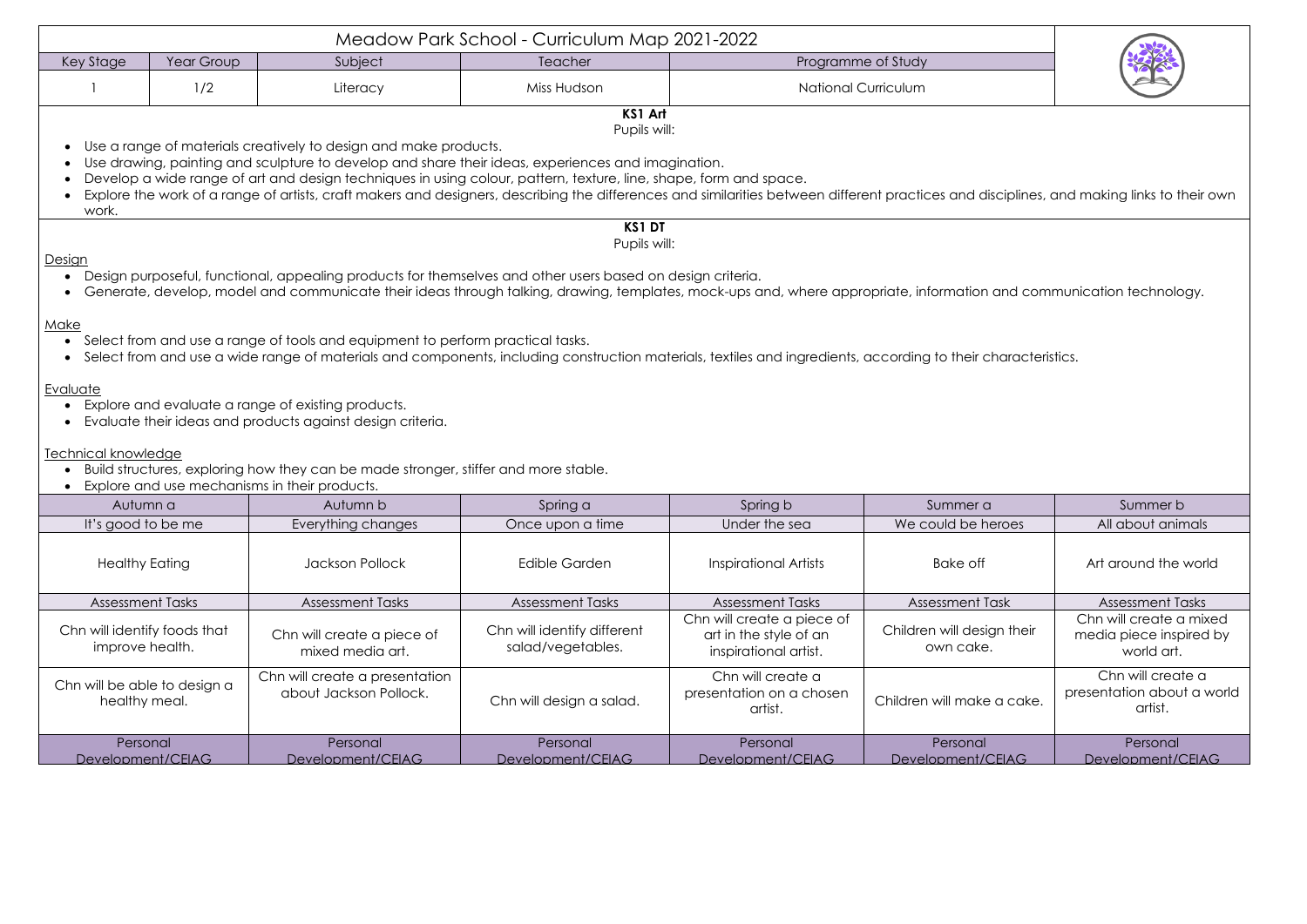| Meadow Park School - Curriculum Map 2021-2022                                                                                                                                                                                                                                                                                                                                                                                                                                                                                                                                            |            |                                                          |                                                  |                                                                               |                                         |                                                                  |  |  |  |  |
|------------------------------------------------------------------------------------------------------------------------------------------------------------------------------------------------------------------------------------------------------------------------------------------------------------------------------------------------------------------------------------------------------------------------------------------------------------------------------------------------------------------------------------------------------------------------------------------|------------|----------------------------------------------------------|--------------------------------------------------|-------------------------------------------------------------------------------|-----------------------------------------|------------------------------------------------------------------|--|--|--|--|
| Key Stage                                                                                                                                                                                                                                                                                                                                                                                                                                                                                                                                                                                | Year Group | Subject                                                  | Teacher                                          |                                                                               | Programme of Study                      |                                                                  |  |  |  |  |
|                                                                                                                                                                                                                                                                                                                                                                                                                                                                                                                                                                                          | 1/2        | Literacy                                                 | Miss Hudson                                      | <b>National Curriculum</b>                                                    |                                         |                                                                  |  |  |  |  |
| KS1 Art<br>Pupils will:<br>Use a range of materials creatively to design and make products.<br>Use drawing, painting and sculpture to develop and share their ideas, experiences and imagination.<br>Develop a wide range of art and design techniques in using colour, pattern, texture, line, shape, form and space.<br>Explore the work of a range of artists, craft makers and designers, describing the differences and similarities between different practices and disciplines, and making links to their own<br>work.                                                            |            |                                                          |                                                  |                                                                               |                                         |                                                                  |  |  |  |  |
| <b>KS1 DT</b><br>Pupils will:<br>Design<br>Design purposeful, functional, appealing products for themselves and other users based on design criteria.<br>Generate, develop, model and communicate their ideas through talking, drawing, templates, mock-ups and, where appropriate, information and communication technology.<br>Make<br>Select from and use a range of tools and equipment to perform practical tasks.<br>Select from and use a wide range of materials and components, including construction materials, textiles and ingredients, according to their characteristics. |            |                                                          |                                                  |                                                                               |                                         |                                                                  |  |  |  |  |
| Evaluate<br>Explore and evaluate a range of existing products.<br>Evaluate their ideas and products against design criteria.<br>Technical knowledge<br>Build structures, exploring how they can be made stronger, stiffer and more stable.<br>Explore and use mechanisms in their products.                                                                                                                                                                                                                                                                                              |            |                                                          |                                                  |                                                                               |                                         |                                                                  |  |  |  |  |
| Autumn a                                                                                                                                                                                                                                                                                                                                                                                                                                                                                                                                                                                 |            | Autumn b                                                 | Spring a                                         | Spring b                                                                      | Summer a                                | Summer b                                                         |  |  |  |  |
| It's good to be me                                                                                                                                                                                                                                                                                                                                                                                                                                                                                                                                                                       |            | Everything changes                                       | Once upon a time                                 | Under the sea                                                                 | We could be heroes                      | All about animals                                                |  |  |  |  |
| <b>Healthy Eating</b>                                                                                                                                                                                                                                                                                                                                                                                                                                                                                                                                                                    |            | <b>Jackson Pollock</b>                                   | <b>Edible Garden</b>                             | <b>Inspirational Artists</b>                                                  | Bake off                                | Art around the world                                             |  |  |  |  |
| <b>Assessment Tasks</b>                                                                                                                                                                                                                                                                                                                                                                                                                                                                                                                                                                  |            | <b>Assessment Tasks</b>                                  | <b>Assessment Tasks</b>                          | <b>Assessment Tasks</b>                                                       | <b>Assessment Task</b>                  | <b>Assessment Tasks</b>                                          |  |  |  |  |
| Chn will identify foods that<br>improve health.                                                                                                                                                                                                                                                                                                                                                                                                                                                                                                                                          |            | Chn will create a piece of<br>mixed media art.           | Chn will identify different<br>salad/vegetables. | Chn will create a piece of<br>art in the style of an<br>inspirational artist. | Children will design their<br>own cake. | Chn will create a mixed<br>media piece inspired by<br>world art. |  |  |  |  |
| Chn will be able to design a<br>healthy meal.                                                                                                                                                                                                                                                                                                                                                                                                                                                                                                                                            |            | Chn will create a presentation<br>about Jackson Pollock. | Chn will design a salad.                         | Chn will create a<br>presentation on a chosen<br>artist.                      | Children will make a cake.              | Chn will create a<br>presentation about a world<br>artist.       |  |  |  |  |
| Personal<br>Development/CEIAG                                                                                                                                                                                                                                                                                                                                                                                                                                                                                                                                                            |            | Personal<br>Development/CEIAG                            | Personal<br>Development/CEIAG                    | Personal<br>Development/CEIAG                                                 | Personal<br>Development/CEIAG           | Personal<br>Development/CEIAG                                    |  |  |  |  |